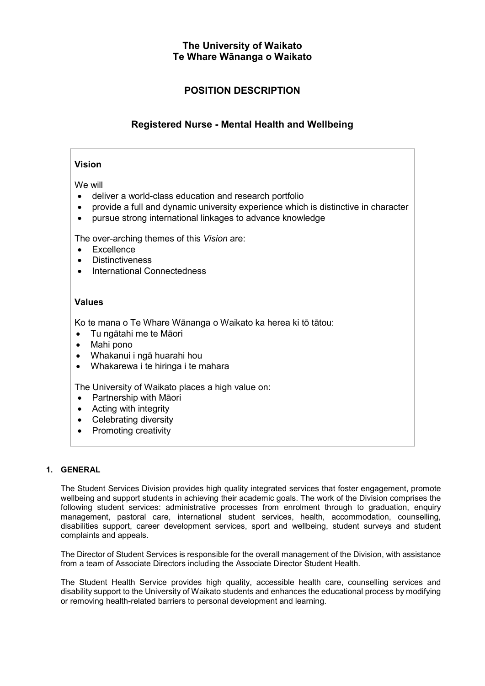## The University of Waikato Te Whare Wānanga o Waikato

# POSITION DESCRIPTION

# Registered Nurse - Mental Health and Wellbeing

## Vision

We will

- deliver a world-class education and research portfolio
- provide a full and dynamic university experience which is distinctive in character
- pursue strong international linkages to advance knowledge

The over-arching themes of this Vision are:

- Excellence
- **Distinctiveness**
- International Connectedness

## Values

Ko te mana o Te Whare Wānanga o Waikato ka herea ki tō tātou:

- Tu ngātahi me te Māori
- Mahi pono
- Whakanui i ngā huarahi hou
- Whakarewa i te hiringa i te mahara

The University of Waikato places a high value on:

- Partnership with Māori
- Acting with integrity
- Celebrating diversity
- Promoting creativity

### 1. GENERAL

The Student Services Division provides high quality integrated services that foster engagement, promote wellbeing and support students in achieving their academic goals. The work of the Division comprises the following student services: administrative processes from enrolment through to graduation, enquiry management, pastoral care, international student services, health, accommodation, counselling, disabilities support, career development services, sport and wellbeing, student surveys and student complaints and appeals.

The Director of Student Services is responsible for the overall management of the Division, with assistance from a team of Associate Directors including the Associate Director Student Health.

The Student Health Service provides high quality, accessible health care, counselling services and disability support to the University of Waikato students and enhances the educational process by modifying or removing health-related barriers to personal development and learning.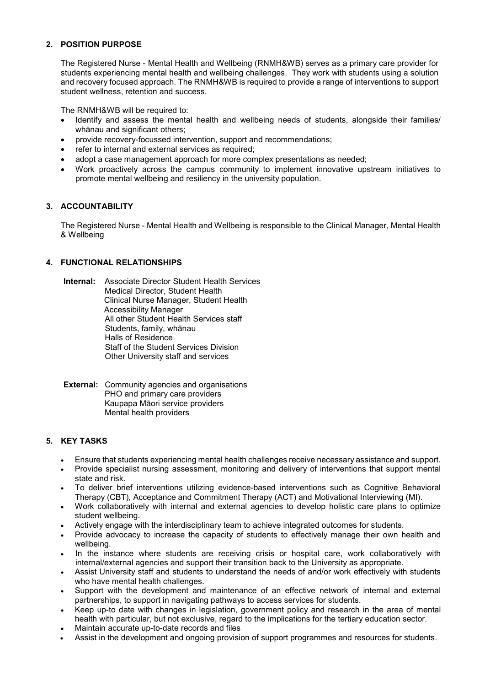## 2. POSITION PURPOSE

The Registered Nurse - Mental Health and Wellbeing (RNMH&WB) serves as a primary care provider for students experiencing mental health and wellbeing challenges. They work with students using a solution and recovery focused approach. The RNMH&WB is required to provide a range of interventions to support student wellness, retention and success.

The RNMH&WB will be required to:

- Identify and assess the mental health and wellbeing needs of students, alongside their families/ whānau and significant others;
- provide recovery-focussed intervention, support and recommendations;
- refer to internal and external services as required;
- adopt a case management approach for more complex presentations as needed;
- Work proactively across the campus community to implement innovative upstream initiatives to promote mental wellbeing and resiliency in the university population.

## 3. ACCOUNTABILITY

The Registered Nurse - Mental Health and Wellbeing is responsible to the Clinical Manager, Mental Health & Wellbeing

### 4. FUNCTIONAL RELATIONSHIPS

Internal: Associate Director Student Health Services Medical Director, Student Health Clinical Nurse Manager, Student Health Accessibility Manager All other Student Health Services staff Students, family, whānau Halls of Residence Staff of the Student Services Division Other University staff and services

**External:** Community agencies and organisations PHO and primary care providers Kaupapa Māori service providers Mental health providers

### 5. KEY TASKS

- Ensure that students experiencing mental health challenges receive necessary assistance and support.
- Provide specialist nursing assessment, monitoring and delivery of interventions that support mental state and risk.
- To deliver brief interventions utilizing evidence-based interventions such as Cognitive Behavioral Therapy (CBT), Acceptance and Commitment Therapy (ACT) and Motivational Interviewing (MI).
- Work collaboratively with internal and external agencies to develop holistic care plans to optimize student wellbeing.
- Actively engage with the interdisciplinary team to achieve integrated outcomes for students.
- Provide advocacy to increase the capacity of students to effectively manage their own health and wellbeing.
- In the instance where students are receiving crisis or hospital care, work collaboratively with internal/external agencies and support their transition back to the University as appropriate.
- Assist University staff and students to understand the needs of and/or work effectively with students who have mental health challenges.
- Support with the development and maintenance of an effective network of internal and external partnerships, to support in navigating pathways to access services for students.
- Keep up-to date with changes in legislation, government policy and research in the area of mental health with particular, but not exclusive, regard to the implications for the tertiary education sector.
- Maintain accurate up-to-date records and files
- Assist in the development and ongoing provision of support programmes and resources for students.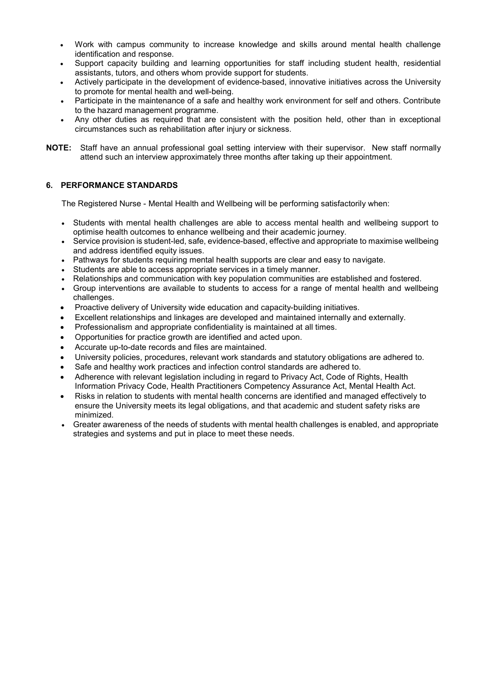- Work with campus community to increase knowledge and skills around mental health challenge identification and response.
- Support capacity building and learning opportunities for staff including student health, residential assistants, tutors, and others whom provide support for students.
- Actively participate in the development of evidence-based, innovative initiatives across the University to promote for mental health and well-being.
- Participate in the maintenance of a safe and healthy work environment for self and others. Contribute to the hazard management programme.
- Any other duties as required that are consistent with the position held, other than in exceptional circumstances such as rehabilitation after injury or sickness.
- NOTE: Staff have an annual professional goal setting interview with their supervisor. New staff normally attend such an interview approximately three months after taking up their appointment.

### 6. PERFORMANCE STANDARDS

The Registered Nurse - Mental Health and Wellbeing will be performing satisfactorily when:

- Students with mental health challenges are able to access mental health and wellbeing support to optimise health outcomes to enhance wellbeing and their academic journey.
- Service provision is student-led, safe, evidence-based, effective and appropriate to maximise wellbeing and address identified equity issues.
- Pathways for students requiring mental health supports are clear and easy to navigate.
- Students are able to access appropriate services in a timely manner.
- Relationships and communication with key population communities are established and fostered.
- Group interventions are available to students to access for a range of mental health and wellbeing challenges.
- Proactive delivery of University wide education and capacity-building initiatives.
- Excellent relationships and linkages are developed and maintained internally and externally.
- Professionalism and appropriate confidentiality is maintained at all times.
- Opportunities for practice growth are identified and acted upon.
- Accurate up-to-date records and files are maintained.
- University policies, procedures, relevant work standards and statutory obligations are adhered to.
- Safe and healthy work practices and infection control standards are adhered to.
- Adherence with relevant legislation including in regard to Privacy Act, Code of Rights, Health Information Privacy Code, Health Practitioners Competency Assurance Act, Mental Health Act.
- Risks in relation to students with mental health concerns are identified and managed effectively to ensure the University meets its legal obligations, and that academic and student safety risks are minimized.
- Greater awareness of the needs of students with mental health challenges is enabled, and appropriate strategies and systems and put in place to meet these needs.